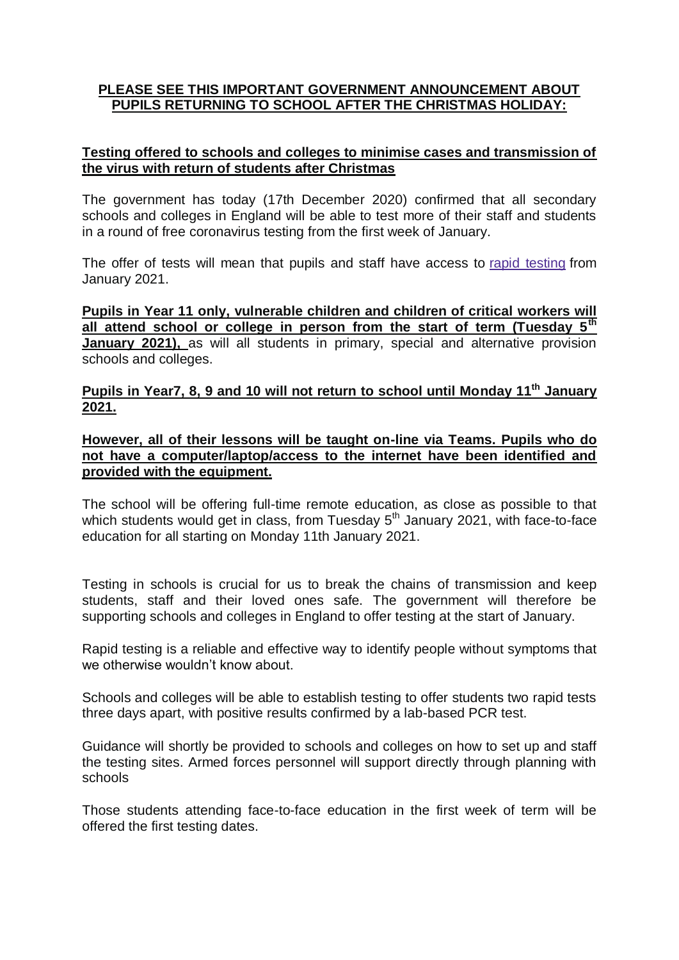## **PLEASE SEE THIS IMPORTANT GOVERNMENT ANNOUNCEMENT ABOUT PUPILS RETURNING TO SCHOOL AFTER THE CHRISTMAS HOLIDAY:**

## **Testing offered to schools and colleges to minimise cases and transmission of the virus with return of students after Christmas**

The government has today (17th December 2020) confirmed that all secondary schools and colleges in England will be able to test more of their staff and students in a round of free coronavirus testing from the first week of January.

The offer of tests will mean that pupils and staff have access to rapid [testing](https://www.gov.uk/government/news/secondary-schools-and-colleges-to-get-weekly-coronavirus-testing) from January 2021.

**Pupils in Year 11 only, vulnerable children and children of critical workers will all attend school or college in person from the start of term (Tuesday 5th January 2021),** as will all students in primary, special and alternative provision schools and colleges.

## **Pupils in Year7, 8, 9 and 10 will not return to school until Monday 11th January 2021.**

**However, all of their lessons will be taught on-line via Teams. Pupils who do not have a computer/laptop/access to the internet have been identified and provided with the equipment.**

The school will be offering full-time remote education, as close as possible to that which students would get in class, from Tuesday  $5<sup>th</sup>$  January 2021, with face-to-face education for all starting on Monday 11th January 2021.

Testing in schools is crucial for us to break the chains of transmission and keep students, staff and their loved ones safe. The government will therefore be supporting schools and colleges in England to offer testing at the start of January.

Rapid testing is a reliable and effective way to identify people without symptoms that we otherwise wouldn't know about.

Schools and colleges will be able to establish testing to offer students two rapid tests three days apart, with positive results confirmed by a lab-based PCR test.

Guidance will shortly be provided to schools and colleges on how to set up and staff the testing sites. Armed forces personnel will support directly through planning with schools

Those students attending face-to-face education in the first week of term will be offered the first testing dates.